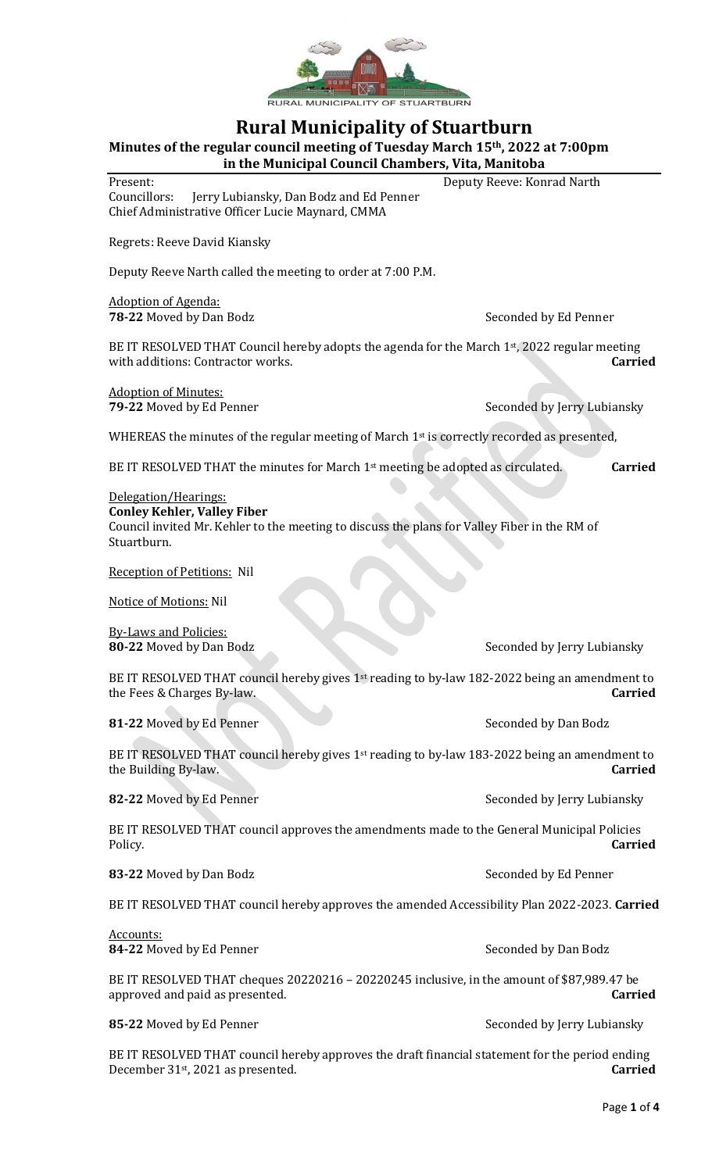

## **Rural Municipality of Stuartburn**

**Minutes of the regular council meeting of Tuesday March 15th, 2022 at 7:00pm in the Municipal Council Chambers, Vita, Manitoba**

Present: Deputy Reeve: Konrad Narth

Councillors: Jerry Lubiansky, Dan Bodz and Ed Penner Chief Administrative Officer Lucie Maynard, CMMA

Regrets: Reeve David Kiansky

Deputy Reeve Narth called the meeting to order at 7:00 P.M.

Adoption of Agenda: **78-22** Moved by Dan Bodz Seconded by Ed Penner

BE IT RESOLVED THAT Council hereby adopts the agenda for the March  $1<sup>st</sup>$ , 2022 regular meeting with additions: Contractor works. **Carried**

Adoption of Minutes:

**79-22** Moved by Ed Penner Seconded by Jerry Lubiansky

WHEREAS the minutes of the regular meeting of March  $1<sup>st</sup>$  is correctly recorded as presented,

BE IT RESOLVED THAT the minutes for March 1st meeting be adopted as circulated. **Carried**

Delegation/Hearings:

**Conley Kehler, Valley Fiber** Council invited Mr. Kehler to the meeting to discuss the plans for Valley Fiber in the RM of Stuartburn.

Reception of Petitions: Nil

Notice of Motions: Nil

By-Laws and Policies:

**80-22** Moved by Dan Bodz Seconded by Jerry Lubiansky

BE IT RESOLVED THAT council hereby gives 1st reading to by-law 182-2022 being an amendment to the Fees & Charges By-law. **Carried**

**81-22** Moved by Ed Penner Seconded by Dan Bodz

BE IT RESOLVED THAT council hereby gives 1<sup>st</sup> reading to by-law 183-2022 being an amendment to the Building By-law. **Carried**

**82-22** Moved by Ed Penner Seconded by Jerry Lubiansky

BE IT RESOLVED THAT council approves the amendments made to the General Municipal Policies Policy. **Carried**

83-22 Moved by Dan Bodz Seconded by Ed Penner

BE IT RESOLVED THAT council hereby approves the amended Accessibility Plan 2022-2023. **Carried**

Accounts: **84-22** Moved by Ed Penner Seconded by Dan Bodz

BE IT RESOLVED THAT cheques 20220216 – 20220245 inclusive, in the amount of \$87,989.47 be approved and paid as presented. **Carried**

**85-22** Moved by Ed Penner Seconded by Jerry Lubiansky

BE IT RESOLVED THAT council hereby approves the draft financial statement for the period ending December 31st, 2021 as presented. **Carried**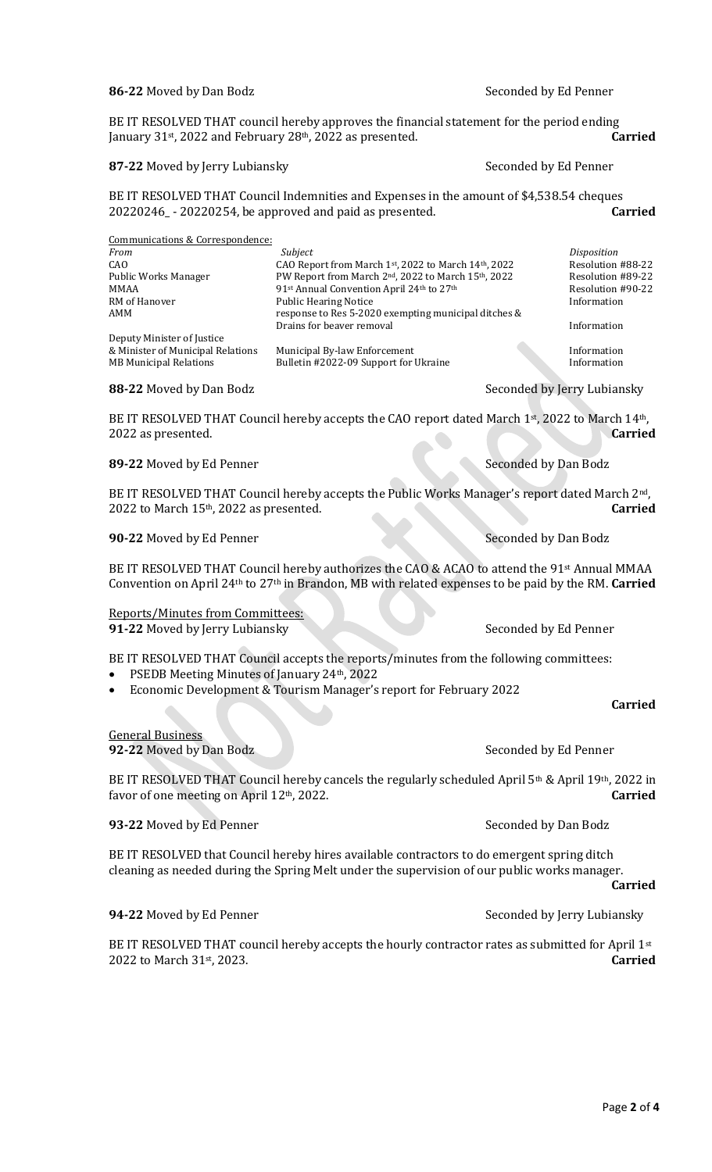#### 86-22 Moved by Dan Bodz and Seconded by Ed Penner

BE IT RESOLVED THAT council hereby approves the financial statement for the period ending January 31st, 2022 and February 28th, 2022 as presented. **Carried**

#### 87-22 Moved by Jerry Lubiansky Seconded by Ed Penner

BE IT RESOLVED THAT Council Indemnities and Expenses in the amount of \$4,538.54 cheques 20220246\_ - 20220254, be approved and paid as presented. **Carried**

| Communications & Correspondence:  |                                                      |                    |
|-----------------------------------|------------------------------------------------------|--------------------|
| From                              | Subject                                              | <i>Disposition</i> |
| CAO                               | CAO Report from March 1st, 2022 to March 14th, 2022  | Resolution #88-22  |
| Public Works Manager              | PW Report from March 2nd, 2022 to March 15th, 2022   | Resolution #89-22  |
| MMAA                              | 91st Annual Convention April 24th to 27th            | Resolution #90-22  |
| RM of Hanover                     | <b>Public Hearing Notice</b>                         | Information        |
| AMM                               | response to Res 5-2020 exempting municipal ditches & |                    |
|                                   | Drains for beaver removal                            | Information        |
| Deputy Minister of Justice        |                                                      |                    |
| & Minister of Municipal Relations | Municipal By-law Enforcement                         | Information        |
| <b>MB Municipal Relations</b>     | Bulletin #2022-09 Support for Ukraine                | Information        |

#### **88-22** Moved by Dan Bodz Seconded by Jerry Lubiansky

BE IT RESOLVED THAT Council hereby accepts the CAO report dated March 1<sup>st</sup>, 2022 to March 14<sup>th</sup>, 2022 as presented. **Carried**

#### **89-22** Moved by Ed Penner Seconded by Dan Bodz

BE IT RESOLVED THAT Council hereby accepts the Public Works Manager's report dated March 2<sup>nd</sup>, 2022 to March 15th, 2022 as presented. **Carried**

#### **90-22** Moved by Ed Penner Seconded by Dan Bodz

BE IT RESOLVED THAT Council hereby authorizes the CAO & ACAO to attend the 91<sup>st</sup> Annual MMAA Convention on April 24th to 27th in Brandon, MB with related expenses to be paid by the RM. **Carried**

Reports/Minutes from Committees: **91-22** Moved by Jerry Lubiansky Seconded by Ed Penner

BE IT RESOLVED THAT Council accepts the reports/minutes from the following committees:

- PSEDB Meeting Minutes of January 24th, 2022
- Economic Development & Tourism Manager's report for February 2022

**Carried**

#### General Business

**92-22** Moved by Dan Bodz Seconded by Ed Penner

BE IT RESOLVED THAT Council hereby cancels the regularly scheduled April 5<sup>th</sup> & April 19<sup>th</sup>, 2022 in favor of one meeting on April 12th, 2022. **Carried**

#### **93-22** Moved by Ed Penner Seconded by Dan Bodz

BE IT RESOLVED that Council hereby hires available contractors to do emergent spring ditch cleaning as needed during the Spring Melt under the supervision of our public works manager.

#### **Carried**

**94-22** Moved by Ed Penner Seconded by Jerry Lubiansky

BE IT RESOLVED THAT council hereby accepts the hourly contractor rates as submitted for April  $1<sup>st</sup>$ 2022 to March 31st, 2023. **Carried**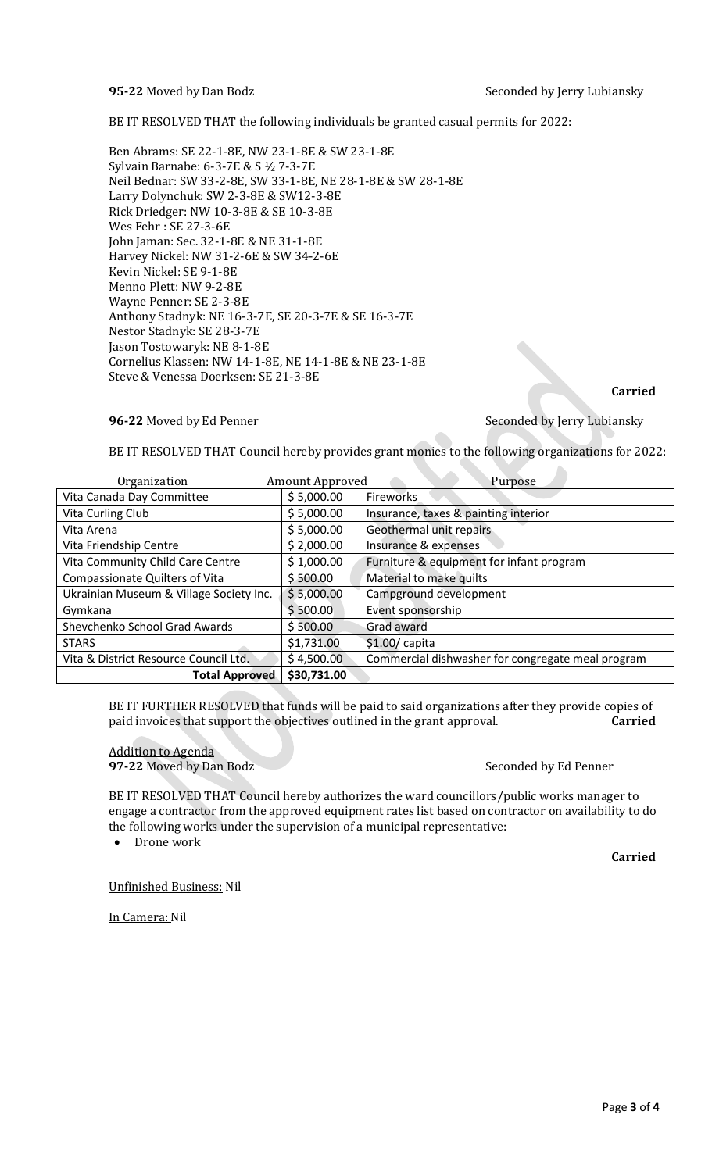**95-22** Moved by Dan Bodz Seconded by Jerry Lubiansky

BE IT RESOLVED THAT the following individuals be granted casual permits for 2022:

Ben Abrams: SE 22-1-8E, NW 23-1-8E & SW 23-1-8E Sylvain Barnabe: 6-3-7E & S ½ 7-3-7E Neil Bednar: SW 33-2-8E, SW 33-1-8E, NE 28-1-8E & SW 28-1-8E Larry Dolynchuk: SW 2-3-8E & SW12-3-8E Rick Driedger: NW 10-3-8E & SE 10-3-8E Wes Fehr : SE 27-3-6E John Jaman: Sec. 32-1-8E & NE 31-1-8E Harvey Nickel: NW 31-2-6E & SW 34-2-6E Kevin Nickel: SE 9-1-8E Menno Plett: NW 9-2-8E Wayne Penner: SE 2-3-8E Anthony Stadnyk: NE 16-3-7E, SE 20-3-7E & SE 16-3-7E Nestor Stadnyk: SE 28-3-7E Jason Tostowaryk: NE 8-1-8E Cornelius Klassen: NW 14-1-8E, NE 14-1-8E & NE 23-1-8E Steve & Venessa Doerksen: SE 21-3-8E

### **96-22** Moved by Ed Penner Seconded by Jerry Lubiansky

# **Carried**

BE IT RESOLVED THAT Council hereby provides grant monies to the following organizations for 2022:

| Organization                            | Amount Approved | Purpose                                           |
|-----------------------------------------|-----------------|---------------------------------------------------|
| Vita Canada Day Committee               | \$5,000.00      | Fireworks                                         |
| Vita Curling Club                       | \$5,000.00      | Insurance, taxes & painting interior              |
| Vita Arena                              | \$5,000.00      | Geothermal unit repairs                           |
| Vita Friendship Centre                  | \$2,000.00      | Insurance & expenses                              |
| Vita Community Child Care Centre        | \$1,000.00      | Furniture & equipment for infant program          |
| <b>Compassionate Quilters of Vita</b>   | \$500.00        | Material to make quilts                           |
| Ukrainian Museum & Village Society Inc. | \$5,000.00      | Campground development                            |
| Gymkana                                 | \$500.00        | Event sponsorship                                 |
| Shevchenko School Grad Awards           | \$500.00        | Grad award                                        |
| <b>STARS</b>                            | \$1,731.00      | $$1.00/$ capita                                   |
| Vita & District Resource Council Ltd.   | \$4,500.00      | Commercial dishwasher for congregate meal program |
| <b>Total Approved</b>                   | \$30,731.00     |                                                   |

BE IT FURTHER RESOLVED that funds will be paid to said organizations after they provide copies of paid invoices that support the objectives outlined in the grant approval. **Carried**

Addition to Agenda **97-22** Moved by Dan Bodz Seconded by Ed Penner

BE IT RESOLVED THAT Council hereby authorizes the ward councillors/public works manager to engage a contractor from the approved equipment rates list based on contractor on availability to do the following works under the supervision of a municipal representative:

• Drone work

**Carried**

Unfinished Business: Nil

In Camera: Nil